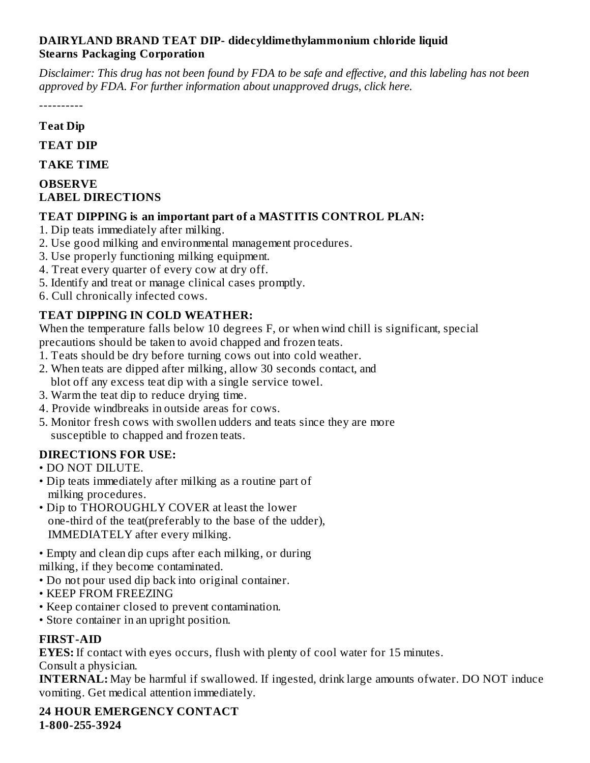### **DAIRYLAND BRAND TEAT DIP- didecyldimethylammonium chloride liquid Stearns Packaging Corporation**

Disclaimer: This drug has not been found by FDA to be safe and effective, and this labeling has not been *approved by FDA. For further information about unapproved drugs, click here.*

----------

### **Teat Dip**

**TEAT DIP**

**TAKE TIME**

#### **OBSERVE LABEL DIRECTIONS**

### **TEAT DIPPING is an important part of a MASTITIS CONTROL PLAN:**

- 1. Dip teats immediately after milking.
- 2. Use good milking and environmental management procedures.
- 3. Use properly functioning milking equipment.
- 4. Treat every quarter of every cow at dry off.
- 5. Identify and treat or manage clinical cases promptly.
- 6. Cull chronically infected cows.

## **TEAT DIPPING IN COLD WEATHER:**

When the temperature falls below 10 degrees F, or when wind chill is significant, special precautions should be taken to avoid chapped and frozen teats.

- 1. Teats should be dry before turning cows out into cold weather.
- 2. When teats are dipped after milking, allow 30 seconds contact, and blot off any excess teat dip with a single service towel.
- 3. Warm the teat dip to reduce drying time.
- 4. Provide windbreaks in outside areas for cows.
- 5. Monitor fresh cows with swollen udders and teats since they are more susceptible to chapped and frozen teats.

### **DIRECTIONS FOR USE:**

- DO NOT DILUTE.
- Dip teats immediately after milking as a routine part of milking procedures.
- Dip to THOROUGHLY COVER at least the lower one-third of the teat(preferably to the base of the udder), IMMEDIATELY after every milking.
- Empty and clean dip cups after each milking, or during milking, if they become contaminated.
- Do not pour used dip back into original container.
- KEEP FROM FREEZING
- Keep container closed to prevent contamination.
- Store container in an upright position.

### **FIRST-AID**

**EYES:** If contact with eyes occurs, flush with plenty of cool water for 15 minutes. Consult a physician.

**INTERNAL:** May be harmful if swallowed. If ingested, drink large amounts ofwater. DO NOT induce vomiting. Get medical attention immediately.

**24 HOUR EMERGENCY CONTACT 1-800-255-3924**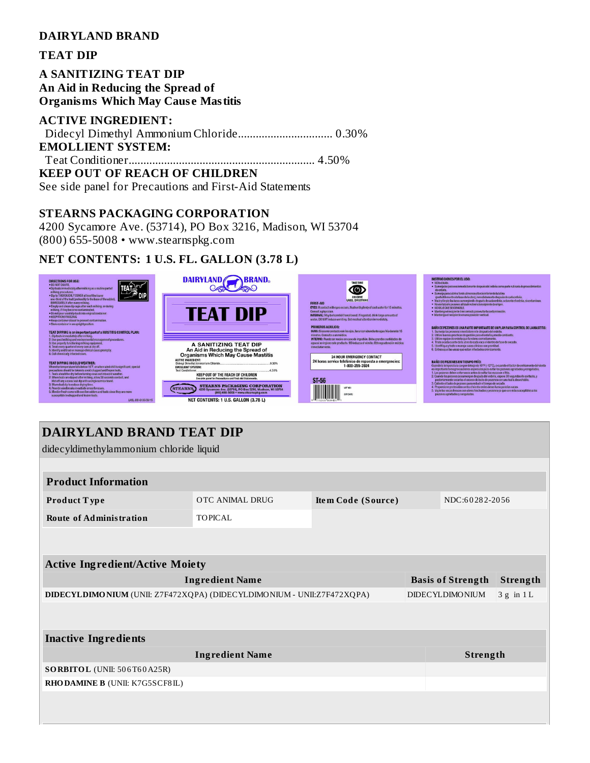#### DAIRYLAND BRAND

#### **TEAT DIP**

**A SANITIZING TEAT DIP** An Aid in Reducing the Spread of **Organisms Which May Cause Mastitis** 

#### **ACTIVE INGREDIENT:**

**EMOLLIENT SYSTEM: KEEP OUT OF REACH OF CHILDREN** See side panel for Precautions and First-Aid Statements

#### **STEARNS PACKAGING CORPORATION**

4200 Sycamore Ave. (53714), PO Box 3216, Madison, WI 53704  $(800)$  655-5008 • www.stearnspkg.com

### NET CONTENTS: 1 U.S. FL. GALLON (3.78 L)



### **DAIRYLAND BRAND TEAT DIP**

didecyldimethylammonium chloride liquid **Product Information** OTC ANIMAL DRUG NDC:60282-2056 Product Type Item Code (Source) TOPICAL **Route of Administration Active Ingredient/Active Moiety Ingredient Name Basis of Strength** Strength DIDECYLDIMONIUM (UNII: Z7F472XQPA) (DIDECYLDIMONIUM - UNII:Z7F472XQPA) **DIDECYLDIMONIUM**  $3 g$  in 1L **Inactive Ingredients** Strength **Ingredient Name** SORBITOL (UNII: 506T60A25R) RHODAMINE B (UNII: K7G5SCF8IL)